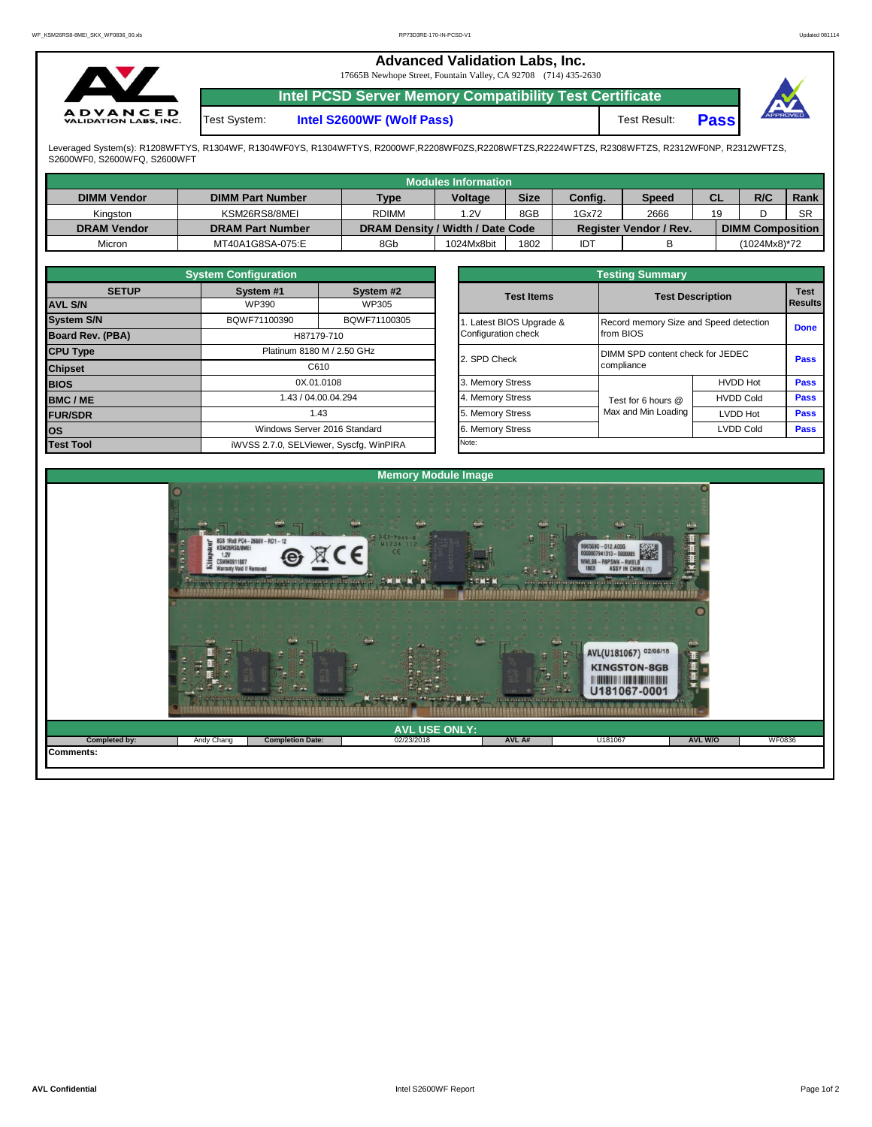|                                                 | <b>Advanced Validation Labs, Inc.</b><br>17665B Newhope Street, Fountain Valley, CA 92708 (714) 435-2630 |                                                                |              |             |                 |  |  |  |
|-------------------------------------------------|----------------------------------------------------------------------------------------------------------|----------------------------------------------------------------|--------------|-------------|-----------------|--|--|--|
|                                                 |                                                                                                          | <b>Intel PCSD Server Memory Compatibility Test Certificate</b> |              |             |                 |  |  |  |
| <b>ADVANCED</b><br><b>VALIDATION LABS, INC.</b> | Test System:                                                                                             | Intel S2600WF (Wolf Pass)                                      | Test Result: | <b>Pass</b> | <b>APPROVED</b> |  |  |  |

Leveraged System(s): R1208WFTYS, R1304WF, R1304WF0YS, R1304WFTYS, R2000WF,R2208WF0ZS,R2208WFTZS,R2224WFTZS, R2308WFTZS, R2312WF0NP, R2312WFTZS,<br>S2600WF0, S2600WFQ, S2600WFT

|                    |                         |                                  | Modules Information |             |         |                               |    |                         |           |
|--------------------|-------------------------|----------------------------------|---------------------|-------------|---------|-------------------------------|----|-------------------------|-----------|
| <b>DIMM Vendor</b> | <b>DIMM Part Number</b> | <b>Type</b>                      | <b>Voltage</b>      | <b>Size</b> | Config. | Speed                         | СL | R/C                     | Rank      |
| Kinaston           | KSM26RS8/8MEI           | <b>RDIMM</b>                     | 1.2V                | 8GB         | 1Gx72   | 2666                          | 19 |                         | <b>SR</b> |
| <b>DRAM Vendor</b> | <b>DRAM Part Number</b> | DRAM Density / Width / Date Code |                     |             |         | <b>Register Vendor / Rev.</b> |    | <b>DIMM Composition</b> |           |
| Micron             | MT40A1G8SA-075:E        | 8Gb                              | 1024Mx8bit          | 1802        | IDT     |                               |    | (1024Mx8)*72            |           |

|                   | <b>System Configuration</b> |                                         | <b>Testing Summary</b> |                                        |                  |             |  |  |  |  |  |  |
|-------------------|-----------------------------|-----------------------------------------|------------------------|----------------------------------------|------------------|-------------|--|--|--|--|--|--|
| <b>SETUP</b>      | System #1                   | System #2                               | <b>Test Items</b>      | <b>Test Description</b>                |                  | <b>Test</b> |  |  |  |  |  |  |
| <b>AVL S/N</b>    | WP390                       | WP305                                   |                        |                                        |                  | Results     |  |  |  |  |  |  |
| <b>System S/N</b> | BQWF71100390                | BQWF71100305                            | Latest BIOS Upgrade &  | Record memory Size and Speed detection |                  | <b>Done</b> |  |  |  |  |  |  |
| Board Rev. (PBA)  |                             | H87179-710                              | Configuration check    | from BIOS                              |                  |             |  |  |  |  |  |  |
| <b>CPU Type</b>   |                             | Platinum 8180 M / 2.50 GHz              | 2. SPD Check           | DIMM SPD content check for JEDEC       |                  | <b>Pass</b> |  |  |  |  |  |  |
| <b>Chipset</b>    |                             | C610                                    |                        | compliance                             |                  |             |  |  |  |  |  |  |
| <b>BIOS</b>       |                             | 0X.01.0108                              | 3. Memory Stress       |                                        | <b>HVDD Hot</b>  | <b>Pass</b> |  |  |  |  |  |  |
| <b>BMC/ME</b>     |                             | 1.43 / 04.00.04.294                     | 4. Memory Stress       | Test for 6 hours @                     | <b>HVDD Cold</b> | <b>Pass</b> |  |  |  |  |  |  |
| <b>FUR/SDR</b>    |                             | 1.43                                    | 5. Memory Stress       | Max and Min Loading                    | LVDD Hot         | <b>Pass</b> |  |  |  |  |  |  |
| lOS.              |                             | Windows Server 2016 Standard            | 6. Memory Stress       |                                        | <b>LVDD Cold</b> | <b>Pass</b> |  |  |  |  |  |  |
| <b>Test Tool</b>  |                             | iWVSS 2.7.0, SELViewer, Syscfq, WinPIRA | Note:                  |                                        |                  |             |  |  |  |  |  |  |

|              | <b>System Configuration</b> |                                    | <b>Testing Summary</b> |                                        |                  |                                                              |  |  |  |  |  |  |  |
|--------------|-----------------------------|------------------------------------|------------------------|----------------------------------------|------------------|--------------------------------------------------------------|--|--|--|--|--|--|--|
| <b>SETUP</b> | System #1                   | System #2                          | <b>Test Items</b>      | <b>Test Description</b>                |                  |                                                              |  |  |  |  |  |  |  |
|              | WP390                       | WP305                              |                        |                                        |                  |                                                              |  |  |  |  |  |  |  |
|              | BQWF71100390                | BQWF71100305                       | Latest BIOS Upgrade &  | Record memory Size and Speed detection |                  |                                                              |  |  |  |  |  |  |  |
| PBA)         |                             | H87179-710                         | Configuration check    | from BIOS                              |                  |                                                              |  |  |  |  |  |  |  |
|              |                             | Platinum 8180 M / 2.50 GHz         |                        | DIMM SPD content check for JEDEC       |                  |                                                              |  |  |  |  |  |  |  |
|              |                             | C610                               | 2. SPD Check           | compliance                             |                  |                                                              |  |  |  |  |  |  |  |
|              |                             | 0X.01.0108                         | 3. Memory Stress       |                                        | <b>HVDD Hot</b>  | Pass                                                         |  |  |  |  |  |  |  |
|              |                             | 1.43 / 04.00.04.294                | 4. Memory Stress       | Test for 6 hours @                     | <b>HVDD Cold</b> | <b>Test</b><br><b>Results</b><br><b>Done</b><br>Pass<br>Pass |  |  |  |  |  |  |  |
|              |                             | 1.43                               | 5. Memory Stress       | Max and Min Loading                    | LVDD Hot         | Pass                                                         |  |  |  |  |  |  |  |
|              |                             | Windows Server 2016 Standard       | 6. Memory Stress       |                                        | <b>LVDD Cold</b> | <b>Pass</b>                                                  |  |  |  |  |  |  |  |
|              |                             | iMVSS 270 SELViewer Svecta WinPIRA | Note:                  |                                        |                  |                                                              |  |  |  |  |  |  |  |